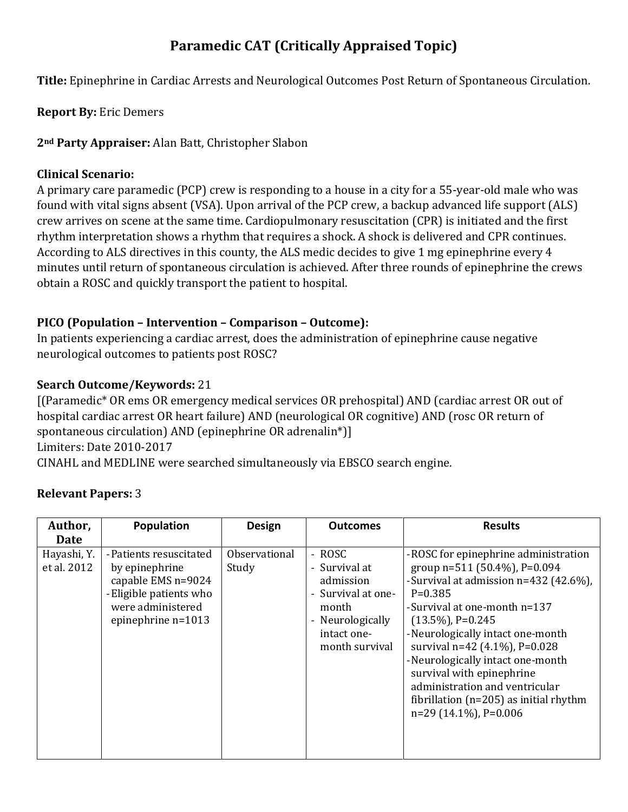# **Paramedic CAT (Critically Appraised Topic)**

**Title:** Epinephrine in Cardiac Arrests and Neurological Outcomes Post Return of Spontaneous Circulation.

**Report By:** Eric Demers

**2nd Party Appraiser:** Alan Batt, Christopher Slabon

#### **Clinical Scenario:**

A primary care paramedic (PCP) crew is responding to a house in a city for a 55-year-old male who was found with vital signs absent (VSA). Upon arrival of the PCP crew, a backup advanced life support (ALS) crew arrives on scene at the same time. Cardiopulmonary resuscitation (CPR) is initiated and the first rhythm interpretation shows a rhythm that requires a shock. A shock is delivered and CPR continues. According to ALS directives in this county, the ALS medic decides to give 1 mg epinephrine every 4 minutes until return of spontaneous circulation is achieved. After three rounds of epinephrine the crews obtain a ROSC and quickly transport the patient to hospital.

### **PICO (Population – Intervention – Comparison – Outcome):**

In patients experiencing a cardiac arrest, does the administration of epinephrine cause negative neurological outcomes to patients post ROSC?

### **Search Outcome/Keywords:** 21

[(Paramedic\* OR ems OR emergency medical services OR prehospital) AND (cardiac arrest OR out of hospital cardiac arrest OR heart failure) AND (neurological OR cognitive) AND (rosc OR return of spontaneous circulation) AND (epinephrine OR adrenalin\*)] Limiters: Date 2010-2017 CINAHL and MEDLINE were searched simultaneously via EBSCO search engine.

### **Relevant Papers:** 3

| Author,                    | Population                                                                                                                              | <b>Design</b>          | <b>Outcomes</b>                                                                                                          | <b>Results</b>                                                                                                                                                                                                                                                                                                                                                                                                                           |
|----------------------------|-----------------------------------------------------------------------------------------------------------------------------------------|------------------------|--------------------------------------------------------------------------------------------------------------------------|------------------------------------------------------------------------------------------------------------------------------------------------------------------------------------------------------------------------------------------------------------------------------------------------------------------------------------------------------------------------------------------------------------------------------------------|
| Date                       |                                                                                                                                         |                        |                                                                                                                          |                                                                                                                                                                                                                                                                                                                                                                                                                                          |
| Hayashi, Y.<br>et al. 2012 | - Patients resuscitated<br>by epinephrine<br>capable EMS n=9024<br>- Eligible patients who<br>were administered<br>epinephrine $n=1013$ | Observational<br>Study | - ROSC<br>- Survival at<br>admission<br>- Survival at one-<br>month<br>- Neurologically<br>intact one-<br>month survival | -ROSC for epinephrine administration<br>group $n=511$ (50.4%), P=0.094<br>-Survival at admission n=432 (42.6%),<br>$P=0.385$<br>-Survival at one-month n=137<br>$(13.5\%)$ , P=0.245<br>- Neurologically intact one-month<br>survival n=42 (4.1%), P=0.028<br>- Neurologically intact one-month<br>survival with epinephrine<br>administration and ventricular<br>fibrillation ( $n=205$ ) as initial rhythm<br>$n=29(14.1\%)$ , P=0.006 |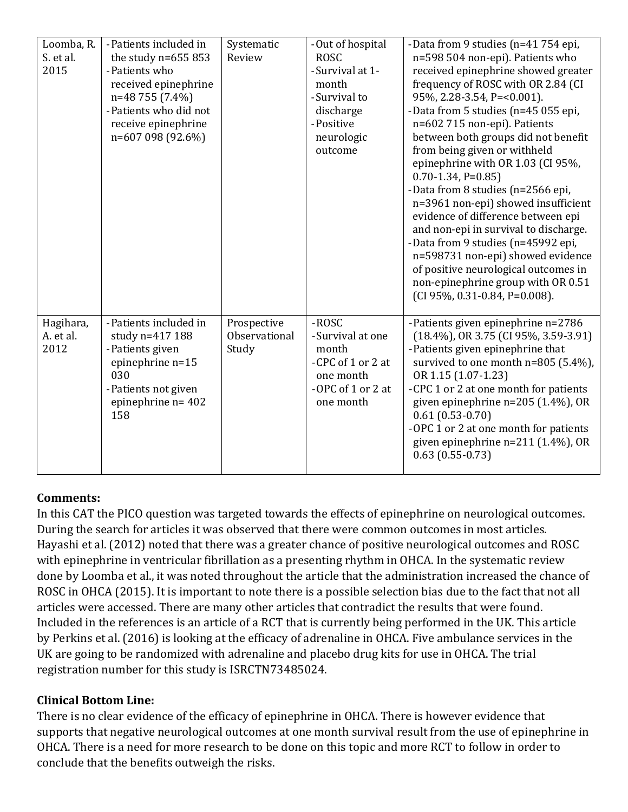| Loomba, R.<br>S. et al.<br>2015 | - Patients included in<br>the study $n=655853$<br>- Patients who<br>received epinephrine<br>n=48 755 (7.4%)<br>-Patients who did not<br>receive epinephrine<br>n=607 098 (92.6%) | Systematic<br>Review                  | -Out of hospital<br><b>ROSC</b><br>-Survival at 1-<br>month<br>-Survival to<br>discharge<br>-Positive<br>neurologic<br>outcome | -Data from 9 studies (n=41 754 epi,<br>n=598 504 non-epi). Patients who<br>received epinephrine showed greater<br>frequency of ROSC with OR 2.84 (CI<br>95%, 2.28-3.54, P=<0.001).<br>-Data from 5 studies (n=45 055 epi,<br>n=602 715 non-epi). Patients<br>between both groups did not benefit<br>from being given or withheld<br>epinephrine with OR 1.03 (CI 95%,<br>$0.70 - 1.34$ , P=0.85)<br>-Data from 8 studies (n=2566 epi,<br>n=3961 non-epi) showed insufficient<br>evidence of difference between epi<br>and non-epi in survival to discharge.<br>-Data from 9 studies (n=45992 epi,<br>n=598731 non-epi) showed evidence<br>of positive neurological outcomes in<br>non-epinephrine group with OR 0.51<br>(CI 95%, 0.31-0.84, P=0.008). |
|---------------------------------|----------------------------------------------------------------------------------------------------------------------------------------------------------------------------------|---------------------------------------|--------------------------------------------------------------------------------------------------------------------------------|-------------------------------------------------------------------------------------------------------------------------------------------------------------------------------------------------------------------------------------------------------------------------------------------------------------------------------------------------------------------------------------------------------------------------------------------------------------------------------------------------------------------------------------------------------------------------------------------------------------------------------------------------------------------------------------------------------------------------------------------------------|
| Hagihara,<br>A. et al.<br>2012  | - Patients included in<br>study n=417 188<br>- Patients given<br>epinephrine n=15<br>030<br>- Patients not given<br>epinephrine $n = 402$<br>158                                 | Prospective<br>Observational<br>Study | -ROSC<br>-Survival at one<br>month<br>-CPC of 1 or 2 at<br>one month<br>-OPC of 1 or 2 at<br>one month                         | -Patients given epinephrine n=2786<br>$(18.4\%)$ , OR 3.75 (CI 95%, 3.59-3.91)<br>- Patients given epinephrine that<br>survived to one month n=805 (5.4%),<br>OR 1.15 (1.07-1.23)<br>-CPC 1 or 2 at one month for patients<br>given epinephrine n=205 (1.4%), OR<br>$0.61(0.53-0.70)$<br>-OPC 1 or 2 at one month for patients<br>given epinephrine $n=211$ (1.4%), OR<br>$0.63(0.55-0.73)$                                                                                                                                                                                                                                                                                                                                                           |

### **Comments:**

In this CAT the PICO question was targeted towards the effects of epinephrine on neurological outcomes. During the search for articles it was observed that there were common outcomes in most articles. Hayashi et al. (2012) noted that there was a greater chance of positive neurological outcomes and ROSC with epinephrine in ventricular fibrillation as a presenting rhythm in OHCA. In the systematic review done by Loomba et al., it was noted throughout the article that the administration increased the chance of ROSC in OHCA (2015). It is important to note there is a possible selection bias due to the fact that not all articles were accessed. There are many other articles that contradict the results that were found. Included in the references is an article of a RCT that is currently being performed in the UK. This article by Perkins et al. (2016) is looking at the efficacy of adrenaline in OHCA. Five ambulance services in the UK are going to be randomized with adrenaline and placebo drug kits for use in OHCA. The trial registration number for this study is ISRCTN73485024.

### **Clinical Bottom Line:**

There is no clear evidence of the efficacy of epinephrine in OHCA. There is however evidence that supports that negative neurological outcomes at one month survival result from the use of epinephrine in OHCA. There is a need for more research to be done on this topic and more RCT to follow in order to conclude that the benefits outweigh the risks.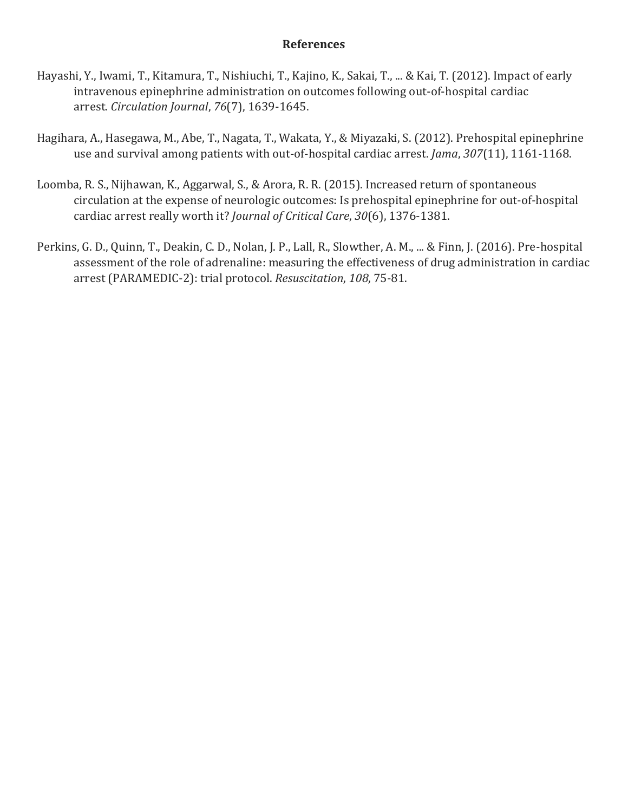#### **References**

- Hayashi, Y., Iwami, T., Kitamura, T., Nishiuchi, T., Kajino, K., Sakai, T., ... & Kai, T. (2012). Impact of early intravenous epinephrine administration on outcomes following out-of-hospital cardiac arrest. *Circulation Journal*, *76*(7), 1639-1645.
- Hagihara, A., Hasegawa, M., Abe, T., Nagata, T., Wakata, Y., & Miyazaki, S. (2012). Prehospital epinephrine use and survival among patients with out-of-hospital cardiac arrest. *Jama*, *307*(11), 1161-1168.
- Loomba, R. S., Nijhawan, K., Aggarwal, S., & Arora, R. R. (2015). Increased return of spontaneous circulation at the expense of neurologic outcomes: Is prehospital epinephrine for out-of-hospital cardiac arrest really worth it? *Journal of Critical Care*, *30*(6), 1376-1381.
- Perkins, G. D., Quinn, T., Deakin, C. D., Nolan, J. P., Lall, R., Slowther, A. M., ... & Finn, J. (2016). Pre-hospital assessment of the role of adrenaline: measuring the effectiveness of drug administration in cardiac arrest (PARAMEDIC-2): trial protocol. *Resuscitation*, *108*, 75-81.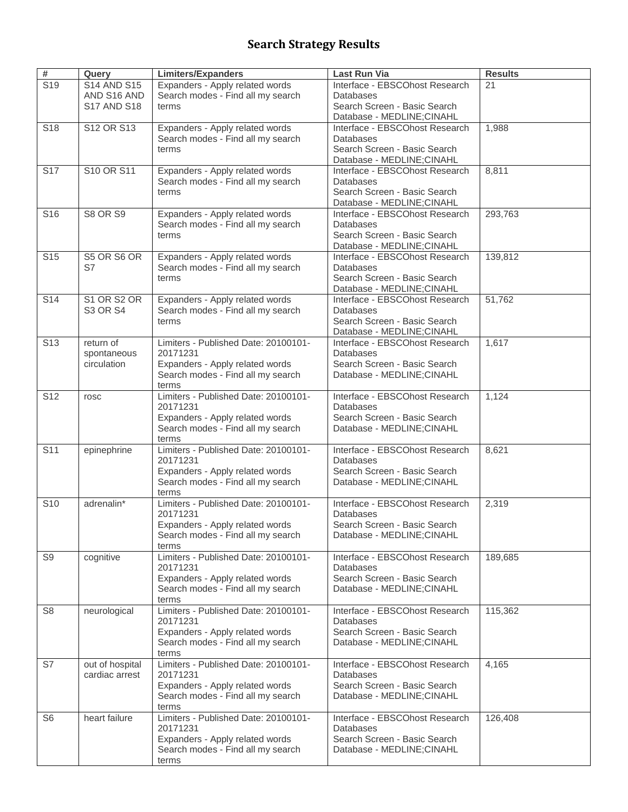## **Search Strategy Results**

| #               | Query              | <b>Limiters/Expanders</b>                                            | Last Run Via                                       | <b>Results</b> |
|-----------------|--------------------|----------------------------------------------------------------------|----------------------------------------------------|----------------|
| S <sub>19</sub> | <b>S14 AND S15</b> | Expanders - Apply related words                                      | Interface - EBSCOhost Research                     | 21             |
|                 | AND S16 AND        | Search modes - Find all my search                                    | Databases                                          |                |
|                 | <b>S17 AND S18</b> | terms                                                                | Search Screen - Basic Search                       |                |
|                 |                    |                                                                      | Database - MEDLINE;CINAHL                          |                |
| S <sub>18</sub> | S12 OR S13         | Expanders - Apply related words<br>Search modes - Find all my search | Interface - EBSCOhost Research<br>Databases        | 1,988          |
|                 |                    | terms                                                                | Search Screen - Basic Search                       |                |
|                 |                    |                                                                      | Database - MEDLINE;CINAHL                          |                |
| S <sub>17</sub> | S10 OR S11         | Expanders - Apply related words                                      | Interface - EBSCOhost Research                     | 8,811          |
|                 |                    | Search modes - Find all my search                                    | Databases                                          |                |
|                 |                    | terms                                                                | Search Screen - Basic Search                       |                |
|                 |                    |                                                                      | Database - MEDLINE;CINAHL                          |                |
| S <sub>16</sub> | <b>S8 OR S9</b>    | Expanders - Apply related words                                      | Interface - EBSCOhost Research                     | 293,763        |
|                 |                    | Search modes - Find all my search<br>terms                           | Databases<br>Search Screen - Basic Search          |                |
|                 |                    |                                                                      | Database - MEDLINE;CINAHL                          |                |
| S <sub>15</sub> | S5 OR S6 OR        | Expanders - Apply related words                                      | Interface - EBSCOhost Research                     | 139,812        |
|                 | S7                 | Search modes - Find all my search                                    | Databases                                          |                |
|                 |                    | terms                                                                | Search Screen - Basic Search                       |                |
|                 |                    |                                                                      | Database - MEDLINE;CINAHL                          |                |
| S <sub>14</sub> | S1 OR S2 OR        | Expanders - Apply related words                                      | Interface - EBSCOhost Research                     | 51,762         |
|                 | <b>S3 OR S4</b>    | Search modes - Find all my search                                    | Databases<br>Search Screen - Basic Search          |                |
|                 |                    | terms                                                                | Database - MEDLINE;CINAHL                          |                |
| S <sub>13</sub> | return of          | Limiters - Published Date: 20100101-                                 | Interface - EBSCOhost Research                     | 1,617          |
|                 | spontaneous        | 20171231                                                             | Databases                                          |                |
|                 | circulation        | Expanders - Apply related words                                      | Search Screen - Basic Search                       |                |
|                 |                    | Search modes - Find all my search                                    | Database - MEDLINE;CINAHL                          |                |
|                 |                    | terms                                                                |                                                    |                |
| S <sub>12</sub> | rosc               | Limiters - Published Date: 20100101-<br>20171231                     | Interface - EBSCOhost Research<br>Databases        | 1,124          |
|                 |                    | Expanders - Apply related words                                      | Search Screen - Basic Search                       |                |
|                 |                    | Search modes - Find all my search                                    | Database - MEDLINE;CINAHL                          |                |
|                 |                    | terms                                                                |                                                    |                |
| S <sub>11</sub> | epinephrine        | Limiters - Published Date: 20100101-                                 | Interface - EBSCOhost Research                     | 8,621          |
|                 |                    | 20171231                                                             | Databases                                          |                |
|                 |                    | Expanders - Apply related words                                      | Search Screen - Basic Search                       |                |
|                 |                    | Search modes - Find all my search<br>terms                           | Database - MEDLINE;CINAHL                          |                |
| S <sub>10</sub> | adrenalin*         | Limiters - Published Date: 20100101-                                 | Interface - EBSCOhost Research                     | 2,319          |
|                 |                    | 20171231                                                             | Databases                                          |                |
|                 |                    | Expanders - Apply related words                                      | Search Screen - Basic Search                       |                |
|                 |                    | Search modes - Find all my search                                    | Database - MEDLINE;CINAHL                          |                |
|                 |                    | terms                                                                |                                                    |                |
| S9              | cognitive          | Limiters - Published Date: 20100101-<br>20171231                     | Interface - EBSCOhost Research<br><b>Databases</b> | 189,685        |
|                 |                    | Expanders - Apply related words                                      | Search Screen - Basic Search                       |                |
|                 |                    | Search modes - Find all my search                                    | Database - MEDLINE;CINAHL                          |                |
|                 |                    | terms                                                                |                                                    |                |
| S <sub>8</sub>  | neurological       | Limiters - Published Date: 20100101-                                 | Interface - EBSCOhost Research                     | 115,362        |
|                 |                    | 20171231                                                             | <b>Databases</b>                                   |                |
|                 |                    | Expanders - Apply related words                                      | Search Screen - Basic Search                       |                |
|                 |                    | Search modes - Find all my search<br>terms                           | Database - MEDLINE;CINAHL                          |                |
| S7              | out of hospital    | Limiters - Published Date: 20100101-                                 | Interface - EBSCOhost Research                     | 4,165          |
|                 | cardiac arrest     | 20171231                                                             | Databases                                          |                |
|                 |                    | Expanders - Apply related words                                      | Search Screen - Basic Search                       |                |
|                 |                    | Search modes - Find all my search                                    | Database - MEDLINE;CINAHL                          |                |
|                 |                    | terms                                                                |                                                    |                |
| S <sub>6</sub>  | heart failure      | Limiters - Published Date: 20100101-                                 | Interface - EBSCOhost Research                     | 126,408        |
|                 |                    | 20171231<br>Expanders - Apply related words                          | Databases<br>Search Screen - Basic Search          |                |
|                 |                    | Search modes - Find all my search                                    | Database - MEDLINE;CINAHL                          |                |
|                 |                    | terms                                                                |                                                    |                |